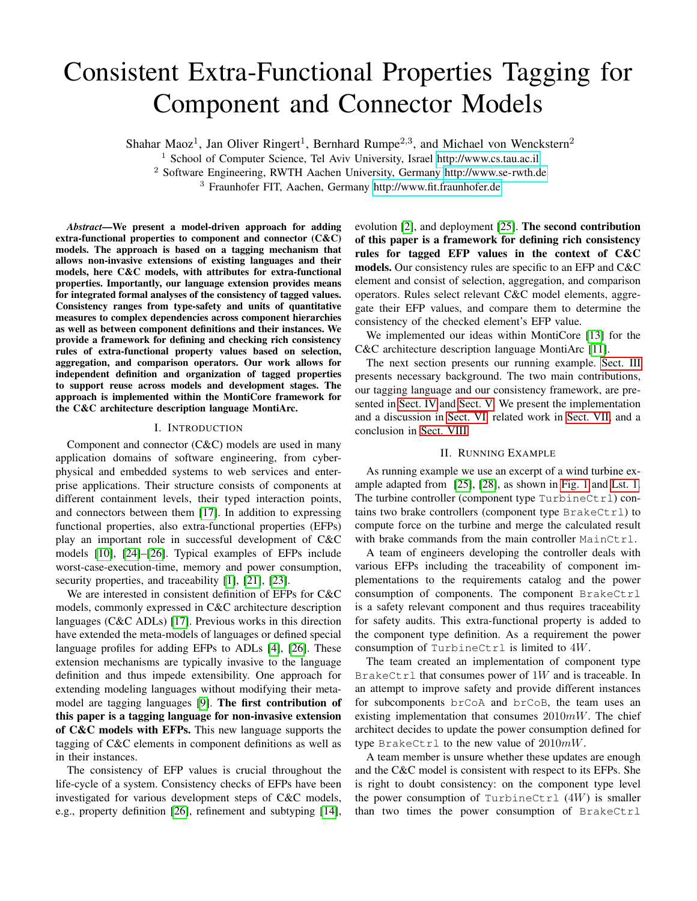# Consistent Extra-Functional Properties Tagging for Component and Connector Models

Shahar Maoz<sup>1</sup>, Jan Oliver Ringert<sup>1</sup>, Bernhard Rumpe<sup>2,3</sup>, and Michael von Wenckstern<sup>2</sup>

<sup>1</sup> School of Computer Science, Tel Aviv University, Israel<http://www.cs.tau.ac.il>

<sup>2</sup> Software Engineering, RWTH Aachen University, Germany<http://www.se-rwth.de>

<sup>3</sup> Fraunhofer FIT, Aachen, Germany<http://www.fit.fraunhofer.de>

*Abstract*—We present a model-driven approach for adding extra-functional properties to component and connector (C&C) models. The approach is based on a tagging mechanism that allows non-invasive extensions of existing languages and their models, here C&C models, with attributes for extra-functional properties. Importantly, our language extension provides means for integrated formal analyses of the consistency of tagged values. Consistency ranges from type-safety and units of quantitative measures to complex dependencies across component hierarchies as well as between component definitions and their instances. We provide a framework for defining and checking rich consistency rules of extra-functional property values based on selection, aggregation, and comparison operators. Our work allows for independent definition and organization of tagged properties to support reuse across models and development stages. The approach is implemented within the MontiCore framework for the C&C architecture description language MontiArc.

#### I. INTRODUCTION

Component and connector (C&C) models are used in many application domains of software engineering, from cyberphysical and embedded systems to web services and enterprise applications. Their structure consists of components at different containment levels, their typed interaction points, and connectors between them [\[17\]](#page-5-0). In addition to expressing functional properties, also extra-functional properties (EFPs) play an important role in successful development of C&C models [\[10\]](#page-5-1), [\[24\]](#page-5-2)–[\[26\]](#page-5-3). Typical examples of EFPs include worst-case-execution-time, memory and power consumption, security properties, and traceability [\[1\]](#page-5-4), [\[21\]](#page-5-5), [\[23\]](#page-5-6).

We are interested in consistent definition of EFPs for C&C models, commonly expressed in C&C architecture description languages (C&C ADLs) [\[17\]](#page-5-0). Previous works in this direction have extended the meta-models of languages or defined special language profiles for adding EFPs to ADLs [\[4\]](#page-5-7), [\[26\]](#page-5-3). These extension mechanisms are typically invasive to the language definition and thus impede extensibility. One approach for extending modeling languages without modifying their metamodel are tagging languages [\[9\]](#page-5-8). The first contribution of this paper is a tagging language for non-invasive extension of C&C models with EFPs. This new language supports the tagging of C&C elements in component definitions as well as in their instances.

The consistency of EFP values is crucial throughout the life-cycle of a system. Consistency checks of EFPs have been investigated for various development steps of C&C models, e.g., property definition [\[26\]](#page-5-3), refinement and subtyping [\[14\]](#page-5-9),

evolution [\[2\]](#page-5-10), and deployment [\[25\]](#page-5-11). The second contribution of this paper is a framework for defining rich consistency rules for tagged EFP values in the context of C&C models. Our consistency rules are specific to an EFP and C&C element and consist of selection, aggregation, and comparison operators. Rules select relevant C&C model elements, aggregate their EFP values, and compare them to determine the consistency of the checked element's EFP value.

We implemented our ideas within MontiCore [\[13\]](#page-5-12) for the C&C architecture description language MontiArc [\[11\]](#page-5-13).

The next section presents our running example. [Sect. III](#page-1-0) presents necessary background. The two main contributions, our tagging language and our consistency framework, are presented in [Sect. IV](#page-2-0) and [Sect. V.](#page-3-0) We present the implementation and a discussion in [Sect. VI,](#page-4-0) related work in [Sect. VII,](#page-4-1) and a conclusion in [Sect. VIII.](#page-5-14)

#### II. RUNNING EXAMPLE

As running example we use an excerpt of a wind turbine example adapted from [\[25\]](#page-5-11), [\[28\]](#page-5-15), as shown in [Fig. 1](#page-1-1) and [Lst. 1.](#page-1-2) The turbine controller (component type  $TurbineCtr1$ ) contains two brake controllers (component type  $BrakeCtr1$ ) to compute force on the turbine and merge the calculated result with brake commands from the main controller MainCtrl.

A team of engineers developing the controller deals with various EFPs including the traceability of component implementations to the requirements catalog and the power consumption of components. The component BrakeCtrl is a safety relevant component and thus requires traceability for safety audits. This extra-functional property is added to the component type definition. As a requirement the power consumption of TurbineCtrl is limited to 4W.

The team created an implementation of component type BrakeCtrl that consumes power of  $1W$  and is traceable. In an attempt to improve safety and provide different instances for subcomponents brCoA and brCoB, the team uses an existing implementation that consumes  $2010mW$ . The chief architect decides to update the power consumption defined for type BrakeCtrl to the new value of  $2010mW$ .

A team member is unsure whether these updates are enough and the C&C model is consistent with respect to its EFPs. She is right to doubt consistency: on the component type level the power consumption of TurbineCtrl  $(4W)$  is smaller than two times the power consumption of BrakeCtrl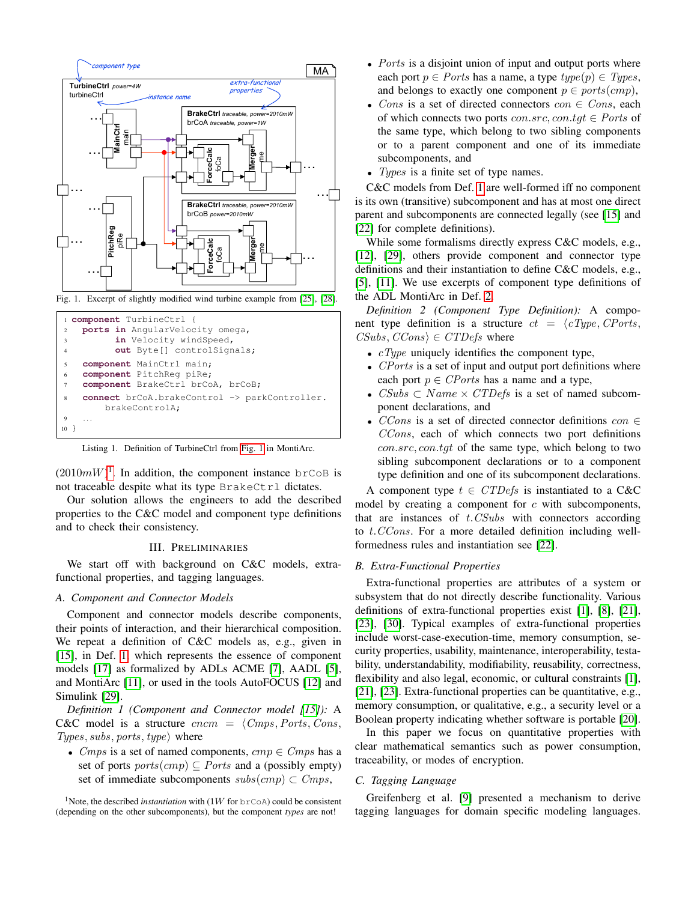

<span id="page-1-1"></span>Fig. 1. Excerpt of slightly modified wind turbine example from [\[25\]](#page-5-11), [\[28\]](#page-5-15).

<span id="page-1-2"></span>

Listing 1. Definition of TurbineCtrl from [Fig. 1](#page-1-1) in MontiArc.

 $(2010mW)^1$  $(2010mW)^1$  $(2010mW)^1$ . In addition, the component instance brCoB is not traceable despite what its type BrakeCtrl dictates.

Our solution allows the engineers to add the described properties to the C&C model and component type definitions and to check their consistency.

#### III. PRELIMINARIES

<span id="page-1-0"></span>We start off with background on C&C models, extrafunctional properties, and tagging languages.

#### *A. Component and Connector Models*

Component and connector models describe components, their points of interaction, and their hierarchical composition. We repeat a definition of C&C models as, e.g., given in [\[15\]](#page-5-16), in Def. [1,](#page-1-4) which represents the essence of component models [\[17\]](#page-5-0) as formalized by ADLs ACME [\[7\]](#page-5-17), AADL [\[5\]](#page-5-18), and MontiArc [\[11\]](#page-5-13), or used in the tools AutoFOCUS [\[12\]](#page-5-19) and Simulink [\[29\]](#page-5-20).

<span id="page-1-4"></span>*Definition 1 (Component and Connector model [\[15\]](#page-5-16)):* A C&C model is a structure  $cncm = \langle Cmps, Ports, Cons,$ Types, subs, ports, type $\rangle$  where

• Cmps is a set of named components,  $cmp \in Cmps$  has a set of ports  $ports(cmp) \subseteq$  *Ports* and a (possibly empty) set of immediate subcomponents  $subs(cmp) \subset Cmps$ ,

<span id="page-1-3"></span><sup>1</sup>Note, the described *instantiation* with (1W for  $b$ r $C$  $oA$ ) could be consistent (depending on the other subcomponents), but the component *types* are not!

- *Ports* is a disjoint union of input and output ports where each port  $p \in$  *Ports* has a name, a type  $type(p) \in Types$ , and belongs to exactly one component  $p \in ports(cmp)$ ,
- Cons is a set of directed connectors  $con \in Cons$ , each of which connects two ports  $con.src, con.tgt \in Ports$  of the same type, which belong to two sibling components or to a parent component and one of its immediate subcomponents, and
- Types is a finite set of type names.

C&C models from Def. [1](#page-1-4) are well-formed iff no component is its own (transitive) subcomponent and has at most one direct parent and subcomponents are connected legally (see [\[15\]](#page-5-16) and [\[22\]](#page-5-21) for complete definitions).

While some formalisms directly express C&C models, e.g., [\[12\]](#page-5-19), [\[29\]](#page-5-20), others provide component and connector type definitions and their instantiation to define C&C models, e.g., [\[5\]](#page-5-18), [\[11\]](#page-5-13). We use excerpts of component type definitions of the ADL MontiArc in Def. [2.](#page-1-5)

<span id="page-1-5"></span>*Definition 2 (Component Type Definition):* A component type definition is a structure  $ct = \langle cType, CPorts, \rangle$  $CSubs, CCons$  ∈  $CTDefs$  where

- $cType$  uniquely identifies the component type,
- CPorts is a set of input and output port definitions where each port  $p \in \text{CPorts}$  has a name and a type,
- $CSubs \subset Name \times CTDefs$  is a set of named subcomponent declarations, and
- CCons is a set of directed connector definitions con  $\in$ CCons, each of which connects two port definitions con.src, con.tgt of the same type, which belong to two sibling subcomponent declarations or to a component type definition and one of its subcomponent declarations.

A component type  $t \in CTDefs$  is instantiated to a C&C model by creating a component for  $c$  with subcomponents, that are instances of  $t$ .  $CSubs$  with connectors according to t.CCons. For a more detailed definition including wellformedness rules and instantiation see [\[22\]](#page-5-21).

#### *B. Extra-Functional Properties*

Extra-functional properties are attributes of a system or subsystem that do not directly describe functionality. Various definitions of extra-functional properties exist [\[1\]](#page-5-4), [\[8\]](#page-5-22), [\[21\]](#page-5-5), [\[23\]](#page-5-6), [\[30\]](#page-5-23). Typical examples of extra-functional properties include worst-case-execution-time, memory consumption, security properties, usability, maintenance, interoperability, testability, understandability, modifiability, reusability, correctness, flexibility and also legal, economic, or cultural constraints [\[1\]](#page-5-4), [\[21\]](#page-5-5), [\[23\]](#page-5-6). Extra-functional properties can be quantitative, e.g., memory consumption, or qualitative, e.g., a security level or a Boolean property indicating whether software is portable [\[20\]](#page-5-24).

In this paper we focus on quantitative properties with clear mathematical semantics such as power consumption, traceability, or modes of encryption.

## *C. Tagging Language*

Greifenberg et al. [\[9\]](#page-5-8) presented a mechanism to derive tagging languages for domain specific modeling languages.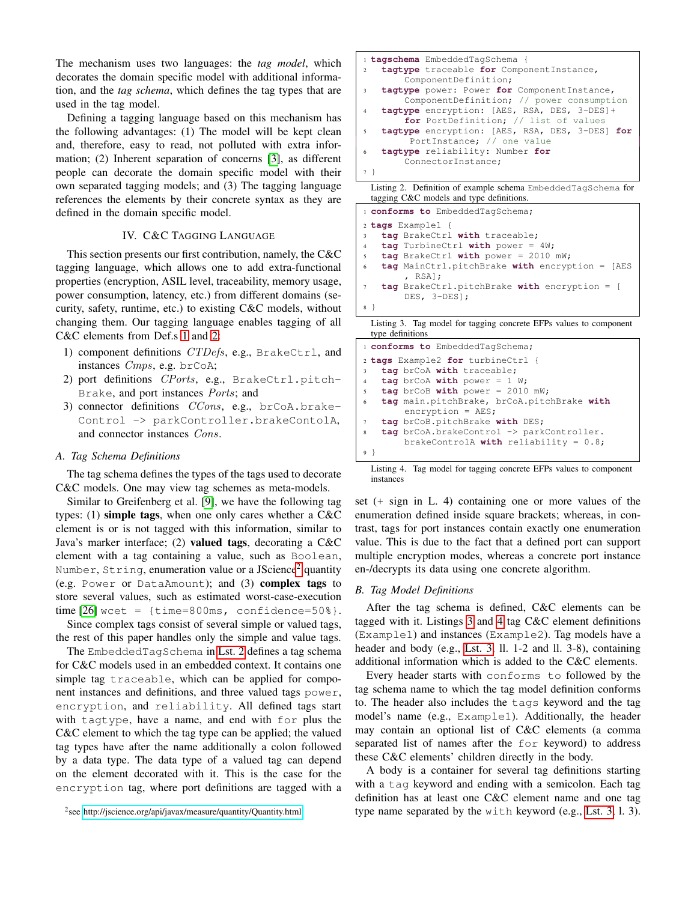The mechanism uses two languages: the *tag model*, which decorates the domain specific model with additional information, and the *tag schema*, which defines the tag types that are used in the tag model.

Defining a tagging language based on this mechanism has the following advantages: (1) The model will be kept clean and, therefore, easy to read, not polluted with extra information; (2) Inherent separation of concerns [\[3\]](#page-5-25), as different people can decorate the domain specific model with their own separated tagging models; and (3) The tagging language references the elements by their concrete syntax as they are defined in the domain specific model.

## IV. C&C TAGGING LANGUAGE

<span id="page-2-0"></span>This section presents our first contribution, namely, the C&C tagging language, which allows one to add extra-functional properties (encryption, ASIL level, traceability, memory usage, power consumption, latency, etc.) from different domains (security, safety, runtime, etc.) to existing C&C models, without changing them. Our tagging language enables tagging of all C&C elements from Def.s [1](#page-1-4) and [2:](#page-1-5)

- 1) component definitions CTDefs, e.g., BrakeCtrl, and instances Cmps, e.g. brCoA;
- 2) port definitions CPorts, e.g., BrakeCtrl.pitch-Brake, and port instances Ports; and
- 3) connector definitions CCons, e.g., brCoA.brake-Control -> parkController.brakeContolA, and connector instances Cons.

## *A. Tag Schema Definitions*

The tag schema defines the types of the tags used to decorate C&C models. One may view tag schemes as meta-models.

Similar to Greifenberg et al. [\[9\]](#page-5-8), we have the following tag types: (1) simple tags, when one only cares whether a C&C element is or is not tagged with this information, similar to Java's marker interface; (2) valued tags, decorating a C&C element with a tag containing a value, such as Boolean, Number,  $String$ , enumeration value or a JScience<sup>[2](#page-2-1)</sup> quantity (e.g. Power or DataAmount); and (3) complex tags to store several values, such as estimated worst-case-execution  $time [26]$  $time [26]$  wcet =  ${time=800ms, confidence=50%}.$ 

Since complex tags consist of several simple or valued tags, the rest of this paper handles only the simple and value tags.

The EmbeddedTagSchema in [Lst. 2](#page-2-2) defines a tag schema for C&C models used in an embedded context. It contains one simple tag traceable, which can be applied for component instances and definitions, and three valued tags power, encryption, and reliability. All defined tags start with tagtype, have a name, and end with for plus the C&C element to which the tag type can be applied; the valued tag types have after the name additionally a colon followed by a data type. The data type of a valued tag can depend on the element decorated with it. This is the case for the encryption tag, where port definitions are tagged with a

```
 http://jscience.org/api/javax/measure/quantity/Quantity.html
```

```
1 tagschema EmbeddedTagSchema {
   2 tagtype traceable for ComponentInstance,
        ComponentDefinition;
3 tagtype power: Power for ComponentInstance,
        ComponentDefinition; // power consumption
   tagtype encryption: [AES, RSA, DES, 3-DES]+
        for PortDefinition; // list of values
   5 tagtype encryption: [AES, RSA, DES, 3-DES] for
         PortInstance; // one value
   6 tagtype reliability: Number for
        ConnectorInstance;
7 }
 Listing 2. Definition of example schema EmbeddedTagSchema for
```
<span id="page-2-3"></span>tagging C&C models and type definitions. **conforms to** EmbeddedTagSchema; **tags** Example1 { **tag** BrakeCtrl **with** traceable; **tag** TurbineCtrl **with** power = 4W; **tag** BrakeCtrl **with** power = 2010 mW; **tag** MainCtrl.pitchBrake **with** encryption = [AES , RSA]; **tag** BrakeCtrl.pitchBrake **with** encryption = [ DES, 3-DES]; <sup>8</sup> }

Listing 3. Tag model for tagging concrete EFPs values to component type definitions

<span id="page-2-4"></span>

| i conforms to EmbeddedTagSchema;                                    |  |
|---------------------------------------------------------------------|--|
| 2 tags Example2 for turbineCtrl {                                   |  |
| tag brCoA with traceable;<br>3                                      |  |
| $\texttt{tag} brcoA with power = 1 W;$<br>$\overline{4}$            |  |
| $tag$ brCoB with power = 2010 mW;<br>5                              |  |
| tag main.pitchBrake, brCoA.pitchBrake with<br>6                     |  |
| $\text{encryption} = \text{AES};$                                   |  |
| tag brCoB.pitchBrake with DES;<br>$\tau$                            |  |
| $tag$ brCoA.brakeControl $\rightarrow$ parkController.<br>8         |  |
| brakeControlA with reliability = $0.8$ ;                            |  |
| 9 }                                                                 |  |
| Listing A. The model for theoring concrete EEDs values to component |  |

Liag model for tagging concrete EFPs instances

set (+ sign in L. 4) containing one or more values of the enumeration defined inside square brackets; whereas, in contrast, tags for port instances contain exactly one enumeration value. This is due to the fact that a defined port can support multiple encryption modes, whereas a concrete port instance en-/decrypts its data using one concrete algorithm.

#### *B. Tag Model Definitions*

After the tag schema is defined, C&C elements can be tagged with it. Listings [3](#page-2-3) and [4](#page-2-4) tag C&C element definitions (Example1) and instances (Example2). Tag models have a header and body (e.g., [Lst. 3,](#page-2-3) ll. 1-2 and ll. 3-8), containing additional information which is added to the C&C elements.

Every header starts with conforms to followed by the tag schema name to which the tag model definition conforms to. The header also includes the tags keyword and the tag model's name (e.g., Example1). Additionally, the header may contain an optional list of C&C elements (a comma separated list of names after the for keyword) to address these C&C elements' children directly in the body.

A body is a container for several tag definitions starting with a tag keyword and ending with a semicolon. Each tag definition has at least one C&C element name and one tag type name separated by the with keyword (e.g., [Lst. 3,](#page-2-3) l. 3).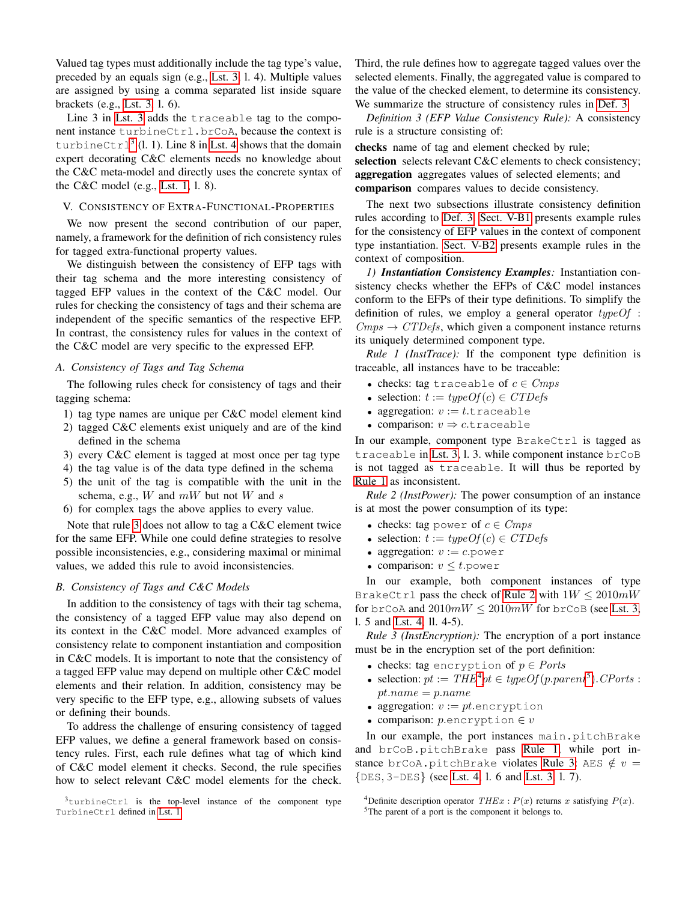Valued tag types must additionally include the tag type's value, preceded by an equals sign (e.g., [Lst. 3,](#page-2-3) l. 4). Multiple values are assigned by using a comma separated list inside square brackets (e.g., [Lst. 3,](#page-2-3) l. 6).

Line 3 in [Lst. 3](#page-2-3) adds the traceable tag to the component instance turbineCtrl.brCoA, because the context is turbineCtrl<sup>[3](#page-3-1)</sup> (l. 1). Line 8 in [Lst. 4](#page-2-4) shows that the domain expert decorating C&C elements needs no knowledge about the C&C meta-model and directly uses the concrete syntax of the C&C model (e.g., [Lst. 1,](#page-1-2) l. 8).

## <span id="page-3-0"></span>V. CONSISTENCY OF EXTRA-FUNCTIONAL-PROPERTIES

We now present the second contribution of our paper, namely, a framework for the definition of rich consistency rules for tagged extra-functional property values.

We distinguish between the consistency of EFP tags with their tag schema and the more interesting consistency of tagged EFP values in the context of the C&C model. Our rules for checking the consistency of tags and their schema are independent of the specific semantics of the respective EFP. In contrast, the consistency rules for values in the context of the C&C model are very specific to the expressed EFP.

## *A. Consistency of Tags and Tag Schema*

The following rules check for consistency of tags and their tagging schema:

- 1) tag type names are unique per C&C model element kind
- 2) tagged C&C elements exist uniquely and are of the kind defined in the schema
- <span id="page-3-2"></span>3) every C&C element is tagged at most once per tag type
- 4) the tag value is of the data type defined in the schema
- 5) the unit of the tag is compatible with the unit in the schema, e.g.,  $W$  and  $mW$  but not  $W$  and  $s$
- 6) for complex tags the above applies to every value.

Note that rule [3](#page-3-2) does not allow to tag a C&C element twice for the same EFP. While one could define strategies to resolve possible inconsistencies, e.g., considering maximal or minimal values, we added this rule to avoid inconsistencies.

### *B. Consistency of Tags and C&C Models*

In addition to the consistency of tags with their tag schema, the consistency of a tagged EFP value may also depend on its context in the C&C model. More advanced examples of consistency relate to component instantiation and composition in C&C models. It is important to note that the consistency of a tagged EFP value may depend on multiple other C&C model elements and their relation. In addition, consistency may be very specific to the EFP type, e.g., allowing subsets of values or defining their bounds.

To address the challenge of ensuring consistency of tagged EFP values, we define a general framework based on consistency rules. First, each rule defines what tag of which kind of C&C model element it checks. Second, the rule specifies how to select relevant C&C model elements for the check.

<span id="page-3-1"></span><sup>3</sup>turbineCtrl is the top-level instance of the component type TurbineCtrl defined in [Lst. 1](#page-1-2)

Third, the rule defines how to aggregate tagged values over the selected elements. Finally, the aggregated value is compared to the value of the checked element, to determine its consistency. We summarize the structure of consistency rules in [Def. 3](#page-3-3)

<span id="page-3-3"></span>*Definition 3 (EFP Value Consistency Rule):* A consistency rule is a structure consisting of:

checks name of tag and element checked by rule; selection selects relevant C&C elements to check consistency; aggregation aggregates values of selected elements; and comparison compares values to decide consistency.

The next two subsections illustrate consistency definition rules according to [Def. 3.](#page-3-3) [Sect. V-B1](#page-3-4) presents example rules for the consistency of EFP values in the context of component type instantiation. [Sect. V-B2](#page-4-2) presents example rules in the context of composition.

<span id="page-3-4"></span>*1) Instantiation Consistency Examples:* Instantiation consistency checks whether the EFPs of C&C model instances conform to the EFPs of their type definitions. To simplify the definition of rules, we employ a general operator  $typeOf$ :  $Cmps \rightarrow CTDefs$ , which given a component instance returns its uniquely determined component type.

<span id="page-3-5"></span>*Rule 1 (InstTrace):* If the component type definition is traceable, all instances have to be traceable:

- checks: tag traceable of  $c \in Cmps$
- selection:  $t := typeOf(c) \in CTDefs$
- aggregation:  $v := t$ .traceable
- comparison:  $v \Rightarrow c$  traceable

In our example, component type BrakeCtrl is tagged as traceable in [Lst. 3,](#page-2-3) l. 3. while component instance brCoB is not tagged as traceable. It will thus be reported by [Rule 1](#page-3-5) as inconsistent.

<span id="page-3-6"></span>*Rule 2 (InstPower):* The power consumption of an instance is at most the power consumption of its type:

- checks: tag power of  $c \in Cmps$
- selection:  $t := typeOf(c) \in CTDefs$
- aggregation:  $v := c$ . power
- comparison:  $v \leq t$ . power

In our example, both component instances of type BrakeCtrl pass the check of [Rule 2](#page-3-6) with  $1W \le 2010mW$ for brCoA and  $2010mW \le 2010mW$  for brCoB (see [Lst. 3,](#page-2-3) l. 5 and [Lst. 4,](#page-2-4) ll. 4-5).

<span id="page-3-9"></span>*Rule 3 (InstEncryption):* The encryption of a port instance must be in the encryption set of the port definition:

- checks: tag encryption of  $p \in \text{Ports}$
- selection:  $pt := THE^4pt \in typeOf(p.parent^5)$  $pt := THE^4pt \in typeOf(p.parent^5)$  $pt := THE^4pt \in typeOf(p.parent^5)$  $pt := THE^4pt \in typeOf(p.parent^5)$  $pt := THE^4pt \in typeOf(p.parent^5)$ . CPorts:  $pt.name = p.name$
- aggregation:  $v := pt$ . encryption
- comparison:  $p$  encryption  $\in v$

In our example, the port instances main.pitchBrake and brCoB.pitchBrake pass [Rule 1,](#page-3-5) while port in-stance brCoA.pitchBrake violates [Rule 3:](#page-3-9) AES  $\notin v =$ {DES, 3-DES} (see [Lst. 4,](#page-2-4) l. 6 and [Lst. 3,](#page-2-3) l. 7).

<span id="page-3-7"></span><sup>&</sup>lt;sup>4</sup>Definite description operator  $THEx$  :  $P(x)$  returns x satisfying  $P(x)$ .

<span id="page-3-8"></span><sup>5</sup>The parent of a port is the component it belongs to.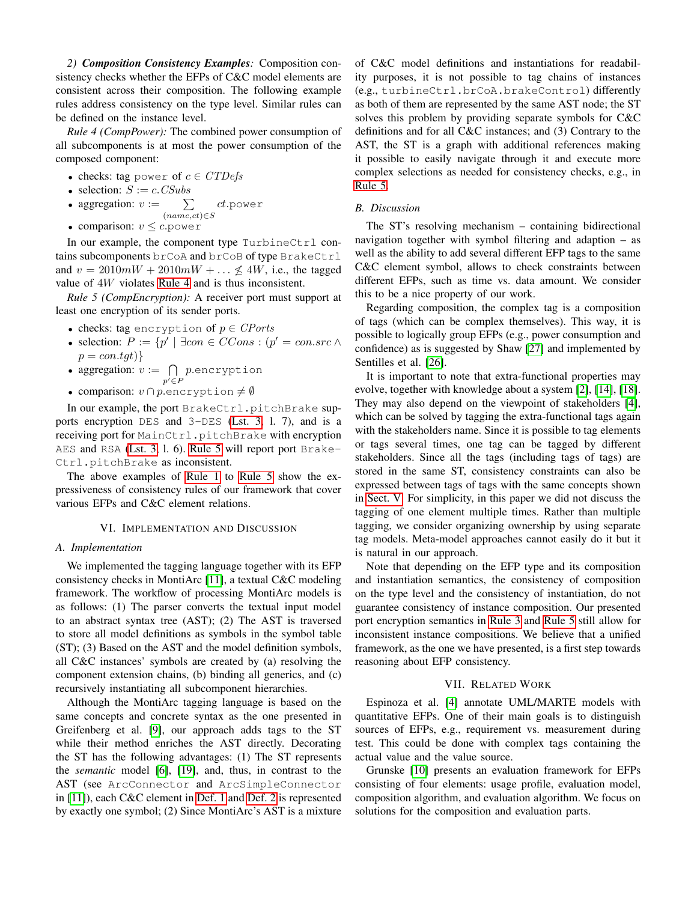<span id="page-4-2"></span>*2) Composition Consistency Examples:* Composition consistency checks whether the EFPs of C&C model elements are consistent across their composition. The following example rules address consistency on the type level. Similar rules can be defined on the instance level.

<span id="page-4-3"></span>*Rule 4 (CompPower):* The combined power consumption of all subcomponents is at most the power consumption of the composed component:

- checks: tag power of  $c \in CTDefs$
- selection:  $S := c$ . CSubs
- aggregation:  $v := \sum$  $(name, ct) \in S$ ct.power
- comparison:  $v \leq c$ . power

In our example, the component type  $TurbineCtrl$  contains subcomponents brCoA and brCoB of type BrakeCtrl and  $v = 2010mW + 2010mW + \dots \nless 4W$ , i.e., the tagged value of 4W violates [Rule 4](#page-4-3) and is thus inconsistent.

<span id="page-4-4"></span>*Rule 5 (CompEncryption):* A receiver port must support at least one encryption of its sender ports.

- checks: tag encryption of  $p \in \mathit{CPorts}$
- selection:  $P := \{p' \mid \exists con \in CCons : (p' = con.src \land \}$  $p = constgt)$
- aggregation:  $v := \bigcap$  $p' \in F$ p.encryption
- comparison:  $v \cap p$ . encryption  $\neq \emptyset$

In our example, the port BrakeCtrl.pitchBrake supports encryption DES and 3-DES [\(Lst. 3,](#page-2-3) l. 7), and is a receiving port for MainCtrl.pitchBrake with encryption AES and RSA [\(Lst. 3,](#page-2-3) l. 6). [Rule 5](#page-4-4) will report port Brake-Ctrl.pitchBrake as inconsistent.

The above examples of [Rule 1](#page-3-5) to [Rule 5](#page-4-4) show the expressiveness of consistency rules of our framework that cover various EFPs and C&C element relations.

#### VI. IMPLEMENTATION AND DISCUSSION

#### <span id="page-4-0"></span>*A. Implementation*

We implemented the tagging language together with its EFP consistency checks in MontiArc [\[11\]](#page-5-13), a textual C&C modeling framework. The workflow of processing MontiArc models is as follows: (1) The parser converts the textual input model to an abstract syntax tree (AST); (2) The AST is traversed to store all model definitions as symbols in the symbol table (ST); (3) Based on the AST and the model definition symbols, all C&C instances' symbols are created by (a) resolving the component extension chains, (b) binding all generics, and (c) recursively instantiating all subcomponent hierarchies.

Although the MontiArc tagging language is based on the same concepts and concrete syntax as the one presented in Greifenberg et al. [\[9\]](#page-5-8), our approach adds tags to the ST while their method enriches the AST directly. Decorating the ST has the following advantages: (1) The ST represents the *semantic* model [\[6\]](#page-5-26), [\[19\]](#page-5-27), and, thus, in contrast to the AST (see ArcConnector and ArcSimpleConnector in [\[11\]](#page-5-13)), each C&C element in [Def. 1](#page-1-4) and [Def. 2](#page-1-5) is represented by exactly one symbol; (2) Since MontiArc's AST is a mixture of C&C model definitions and instantiations for readability purposes, it is not possible to tag chains of instances (e.g., turbineCtrl.brCoA.brakeControl) differently as both of them are represented by the same AST node; the ST solves this problem by providing separate symbols for C&C definitions and for all C&C instances; and (3) Contrary to the AST, the ST is a graph with additional references making it possible to easily navigate through it and execute more complex selections as needed for consistency checks, e.g., in [Rule 5.](#page-4-4)

### *B. Discussion*

The ST's resolving mechanism – containing bidirectional navigation together with symbol filtering and adaption – as well as the ability to add several different EFP tags to the same C&C element symbol, allows to check constraints between different EFPs, such as time vs. data amount. We consider this to be a nice property of our work.

Regarding composition, the complex tag is a composition of tags (which can be complex themselves). This way, it is possible to logically group EFPs (e.g., power consumption and confidence) as is suggested by Shaw [\[27\]](#page-5-28) and implemented by Sentilles et al. [\[26\]](#page-5-3).

It is important to note that extra-functional properties may evolve, together with knowledge about a system [\[2\]](#page-5-10), [\[14\]](#page-5-9), [\[18\]](#page-5-29). They may also depend on the viewpoint of stakeholders [\[4\]](#page-5-7), which can be solved by tagging the extra-functional tags again with the stakeholders name. Since it is possible to tag elements or tags several times, one tag can be tagged by different stakeholders. Since all the tags (including tags of tags) are stored in the same ST, consistency constraints can also be expressed between tags of tags with the same concepts shown in [Sect. V.](#page-3-0) For simplicity, in this paper we did not discuss the tagging of one element multiple times. Rather than multiple tagging, we consider organizing ownership by using separate tag models. Meta-model approaches cannot easily do it but it is natural in our approach.

Note that depending on the EFP type and its composition and instantiation semantics, the consistency of composition on the type level and the consistency of instantiation, do not guarantee consistency of instance composition. Our presented port encryption semantics in [Rule 3](#page-3-9) and [Rule 5](#page-4-4) still allow for inconsistent instance compositions. We believe that a unified framework, as the one we have presented, is a first step towards reasoning about EFP consistency.

#### VII. RELATED WORK

<span id="page-4-1"></span>Espinoza et al. [\[4\]](#page-5-7) annotate UML/MARTE models with quantitative EFPs. One of their main goals is to distinguish sources of EFPs, e.g., requirement vs. measurement during test. This could be done with complex tags containing the actual value and the value source.

Grunske [\[10\]](#page-5-1) presents an evaluation framework for EFPs consisting of four elements: usage profile, evaluation model, composition algorithm, and evaluation algorithm. We focus on solutions for the composition and evaluation parts.